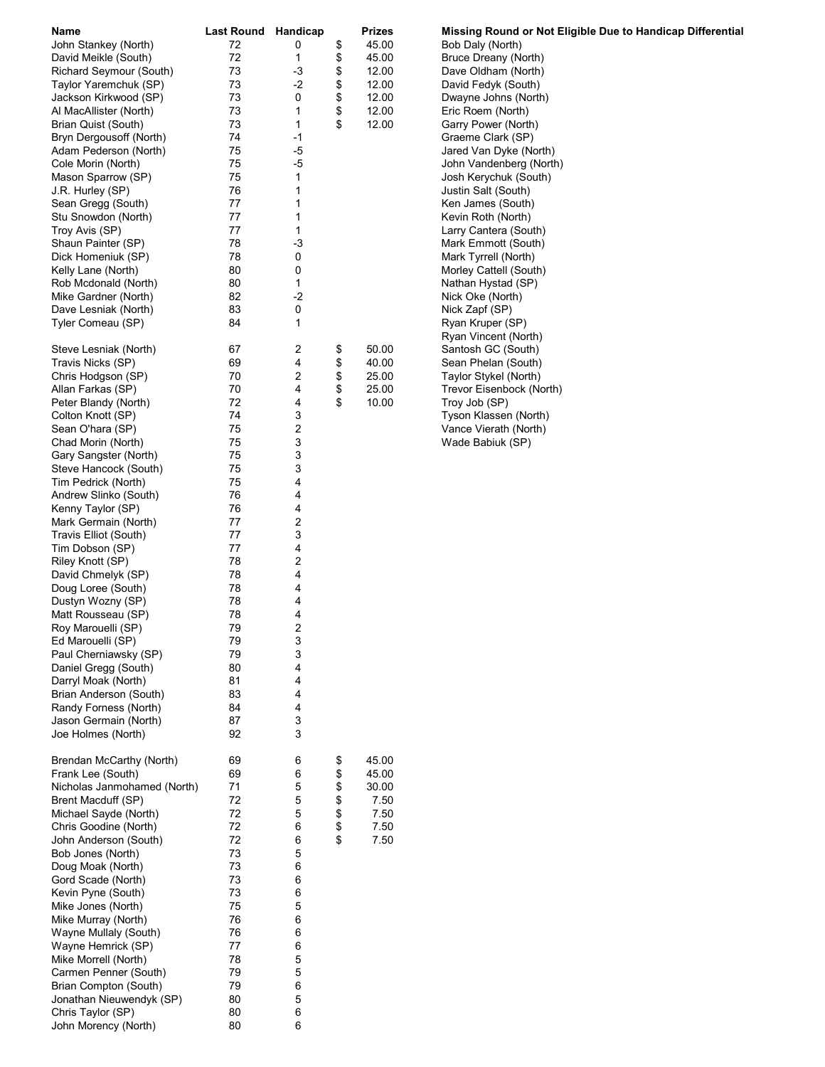| Name                        | Last Round Handicap |      | Prizes      | Missing Round or Not Eligible Due to Handicap Differential |
|-----------------------------|---------------------|------|-------------|------------------------------------------------------------|
| John Stankey (North)        | 72                  | 0    | \$<br>45.00 | Bob Daly (North)                                           |
| David Meikle (South)        | 72                  | 1    | \$<br>45.00 | Bruce Dreany (North)                                       |
| Richard Seymour (South)     | 73                  | -3   | \$<br>12.00 | Dave Oldham (North)                                        |
| Taylor Yaremchuk (SP)       | 73                  | $-2$ | \$<br>12.00 | David Fedyk (South)                                        |
|                             | 73                  | 0    | 12.00       |                                                            |
| Jackson Kirkwood (SP)       | 73                  |      | \$<br>12.00 | Dwayne Johns (North)<br>Eric Roem (North)                  |
| Al MacAllister (North)      |                     | 1    | \$          |                                                            |
| Brian Quist (South)         | 73                  | 1    | \$<br>12.00 | Garry Power (North)                                        |
| Bryn Dergousoff (North)     | 74                  | -1   |             | Graeme Clark (SP)                                          |
| Adam Pederson (North)       | 75                  | $-5$ |             | Jared Van Dyke (North)                                     |
| Cole Morin (North)          | 75                  | -5   |             | John Vandenberg (North)                                    |
| Mason Sparrow (SP)          | 75                  | 1    |             | Josh Kerychuk (South)                                      |
| J.R. Hurley (SP)            | 76                  | 1    |             | Justin Salt (South)                                        |
| Sean Gregg (South)          | 77                  | 1    |             | Ken James (South)                                          |
| Stu Snowdon (North)         | 77                  | 1    |             | Kevin Roth (North)                                         |
| Troy Avis (SP)              | 77                  | 1    |             | Larry Cantera (South)                                      |
| Shaun Painter (SP)          | 78                  | -3   |             | Mark Emmott (South)                                        |
| Dick Homeniuk (SP)          | 78                  | 0    |             | Mark Tyrrell (North)                                       |
| Kelly Lane (North)          | 80                  | 0    |             | Morley Cattell (South)                                     |
| Rob Mcdonald (North)        | 80                  | 1    |             | Nathan Hystad (SP)                                         |
| Mike Gardner (North)        | 82                  | $-2$ |             | Nick Oke (North)                                           |
| Dave Lesniak (North)        | 83                  | 0    |             | Nick Zapf (SP)                                             |
| Tyler Comeau (SP)           | 84                  | 1    |             | Ryan Kruper (SP)                                           |
|                             |                     |      |             | Ryan Vincent (North)                                       |
| Steve Lesniak (North)       | 67                  | 2    | \$<br>50.00 | Santosh GC (South)                                         |
| Travis Nicks (SP)           | 69                  | 4    | \$<br>40.00 | Sean Phelan (South)                                        |
| Chris Hodgson (SP)          | 70                  | 2    | \$<br>25.00 | Taylor Stykel (North)                                      |
| Allan Farkas (SP)           | 70                  | 4    | \$<br>25.00 | Trevor Eisenbock (North)                                   |
| Peter Blandy (North)        | 72                  | 4    | \$<br>10.00 | Troy Job (SP)                                              |
|                             | 74                  | 3    |             |                                                            |
| Colton Knott (SP)           | 75                  |      |             | Tyson Klassen (North)                                      |
| Sean O'hara (SP)            |                     | 2    |             | Vance Vierath (North)                                      |
| Chad Morin (North)          | 75                  | 3    |             | Wade Babiuk (SP)                                           |
| Gary Sangster (North)       | 75                  | 3    |             |                                                            |
| Steve Hancock (South)       | 75                  | 3    |             |                                                            |
| Tim Pedrick (North)         | 75                  | 4    |             |                                                            |
| Andrew Slinko (South)       | 76                  | 4    |             |                                                            |
| Kenny Taylor (SP)           | 76                  | 4    |             |                                                            |
| Mark Germain (North)        | 77                  | 2    |             |                                                            |
| Travis Elliot (South)       | 77                  | 3    |             |                                                            |
| Tim Dobson (SP)             | 77                  | 4    |             |                                                            |
| Riley Knott (SP)            | 78                  | 2    |             |                                                            |
| David Chmelyk (SP)          | 78                  | 4    |             |                                                            |
| Doug Loree (South)          | 78                  | 4    |             |                                                            |
| Dustyn Wozny (SP)           | 78                  | 4    |             |                                                            |
| Matt Rousseau (SP)          | 78                  | 4    |             |                                                            |
| Roy Marouelli (SP)          | 79                  | 2    |             |                                                            |
| Ed Marouelli (SP)           | 79                  | 3    |             |                                                            |
| Paul Cherniawsky (SP)       | 79                  | 3    |             |                                                            |
| Daniel Gregg (South)        | 80                  | 4    |             |                                                            |
| Darryl Moak (North)         | 81                  | 4    |             |                                                            |
| Brian Anderson (South)      | 83                  | 4    |             |                                                            |
| Randy Forness (North)       | 84                  | 4    |             |                                                            |
| Jason Germain (North)       | 87                  | 3    |             |                                                            |
| Joe Holmes (North)          | 92                  | 3    |             |                                                            |
|                             |                     |      |             |                                                            |
| Brendan McCarthy (North)    | 69                  | 6    | \$<br>45.00 |                                                            |
| Frank Lee (South)           | 69                  | 6    | \$<br>45.00 |                                                            |
| Nicholas Janmohamed (North) | 71                  | 5    | \$<br>30.00 |                                                            |
| Brent Macduff (SP)          | 72                  | 5    | \$<br>7.50  |                                                            |
| Michael Sayde (North)       | 72                  | 5    | \$<br>7.50  |                                                            |
| Chris Goodine (North)       | 72                  | 6    | \$<br>7.50  |                                                            |
| John Anderson (South)       | 72                  | 6    | \$<br>7.50  |                                                            |
| Bob Jones (North)           | 73                  | 5    |             |                                                            |
| Doug Moak (North)           | 73                  | 6    |             |                                                            |
|                             | 73                  | 6    |             |                                                            |
| Gord Scade (North)          | 73                  |      |             |                                                            |
| Kevin Pyne (South)          |                     | 6    |             |                                                            |
| Mike Jones (North)          | 75                  | 5    |             |                                                            |
| Mike Murray (North)         | 76                  | 6    |             |                                                            |
| Wayne Mullaly (South)       | 76                  | 6    |             |                                                            |
| Wayne Hemrick (SP)          | 77                  | 6    |             |                                                            |
| Mike Morrell (North)        | 78                  | 5    |             |                                                            |
| Carmen Penner (South)       | 79                  | 5    |             |                                                            |
| Brian Compton (South)       | 79                  | 6    |             |                                                            |
| Jonathan Nieuwendyk (SP)    | 80                  | 5    |             |                                                            |
| Chris Taylor (SP)           | 80                  | 6    |             |                                                            |
| John Morency (North)        | 80                  | 6    |             |                                                            |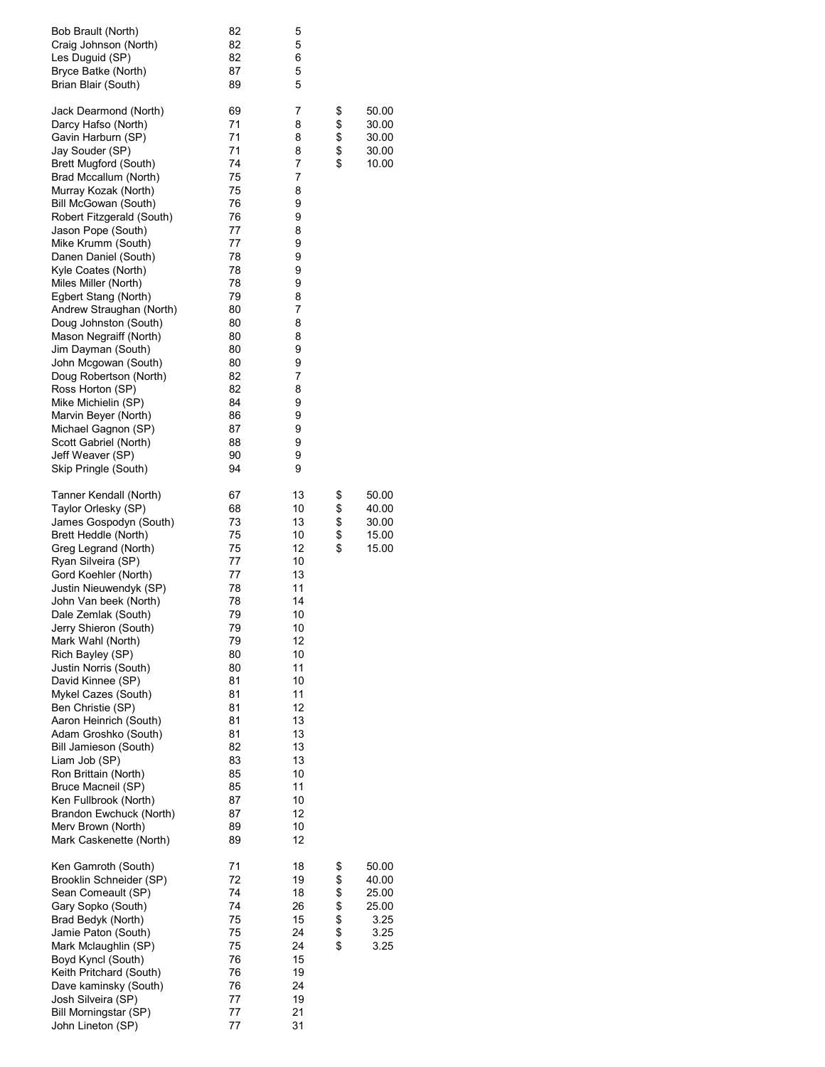| Bob Brault (North)<br>Craig Johnson (North)<br>Les Duguid (SP)<br>Bryce Batke (North) | 82<br>82<br>82<br>87 | 5<br>5<br>6<br>5 |          |                |
|---------------------------------------------------------------------------------------|----------------------|------------------|----------|----------------|
| Brian Blair (South)                                                                   | 89                   | 5                |          |                |
| Jack Dearmond (North)                                                                 | 69<br>71             | 7<br>8           | \$<br>\$ | 50.00          |
| Darcy Hafso (North)<br>Gavin Harburn (SP)                                             | 71                   | 8                |          | 30.00<br>30.00 |
| Jay Souder (SP)                                                                       | 71                   | 8                | \$       | 30.00          |
| <b>Brett Mugford (South)</b>                                                          | 74                   | 7                | \$       | 10.00          |
| Brad Mccallum (North)<br>Murray Kozak (North)                                         | 75<br>75             | 7<br>8           |          |                |
| Bill McGowan (South)                                                                  | 76                   | 9                |          |                |
| Robert Fitzgerald (South)                                                             | 76                   | 9                |          |                |
| Jason Pope (South)                                                                    | 77                   | 8                |          |                |
| Mike Krumm (South)                                                                    | 77                   | 9                |          |                |
| Danen Daniel (South)<br>Kyle Coates (North)                                           | 78<br>78             | 9<br>9           |          |                |
| Miles Miller (North)                                                                  | 78                   | 9                |          |                |
| Egbert Stang (North)                                                                  | 79                   | 8                |          |                |
| Andrew Straughan (North)                                                              | 80                   | 7                |          |                |
| Doug Johnston (South)<br>Mason Negraiff (North)                                       | 80<br>80             | 8<br>8           |          |                |
| Jim Dayman (South)                                                                    | 80                   | 9                |          |                |
| John Mcgowan (South)                                                                  | 80                   | 9                |          |                |
| Doug Robertson (North)                                                                | 82                   | 7                |          |                |
| Ross Horton (SP)                                                                      | 82                   | 8                |          |                |
| Mike Michielin (SP)<br>Marvin Beyer (North)                                           | 84<br>86             | 9<br>9           |          |                |
| Michael Gagnon (SP)                                                                   | 87                   | 9                |          |                |
| Scott Gabriel (North)                                                                 | 88                   | 9                |          |                |
| Jeff Weaver (SP)                                                                      | 90                   | 9                |          |                |
| Skip Pringle (South)                                                                  | 94                   | 9                |          |                |
| Tanner Kendall (North)                                                                | 67                   | 13               | \$       | 50.00          |
| Taylor Orlesky (SP)<br>James Gospodyn (South)                                         | 68<br>73             | 10<br>13         | \$<br>\$ | 40.00<br>30.00 |
| Brett Heddle (North)                                                                  | 75                   | 10               | \$       | 15.00          |
| Greg Legrand (North)                                                                  | 75                   | 12               | \$       | 15.00          |
| Ryan Silveira (SP)                                                                    | 77                   | 10               |          |                |
| Gord Koehler (North)                                                                  | 77                   | 13               |          |                |
| Justin Nieuwendyk (SP)<br>John Van beek (North)                                       | 78<br>78             | 11<br>14         |          |                |
| Dale Zemlak (South)                                                                   | 79                   | 10               |          |                |
| Jerry Shieron (South)                                                                 | 79                   | 10               |          |                |
| Mark Wahl (North)                                                                     | 79                   | 12               |          |                |
| Rich Bayley (SP)<br>Justin Norris (South)                                             | 80<br>80             | 10<br>11         |          |                |
| David Kinnee (SP)                                                                     | 81                   | 10               |          |                |
| Mykel Cazes (South)                                                                   | 81                   | 11               |          |                |
| Ben Christie (SP)                                                                     | 81                   | 12               |          |                |
| Aaron Heinrich (South)                                                                | 81<br>81             | 13<br>13         |          |                |
| Adam Groshko (South)<br>Bill Jamieson (South)                                         | 82                   | 13               |          |                |
| Liam Job (SP)                                                                         | 83                   | 13               |          |                |
| Ron Brittain (North)                                                                  | 85                   | 10               |          |                |
| Bruce Macneil (SP)                                                                    | 85                   | 11               |          |                |
| Ken Fullbrook (North)<br>Brandon Ewchuck (North)                                      | 87<br>87             | 10<br>12         |          |                |
| Merv Brown (North)                                                                    | 89                   | 10               |          |                |
| Mark Caskenette (North)                                                               | 89                   | 12               |          |                |
| Ken Gamroth (South)                                                                   | 71                   | 18               | \$       | 50.00          |
| Brooklin Schneider (SP)                                                               | 72                   | 19               | \$       | 40.00          |
| Sean Comeault (SP)                                                                    | 74                   | 18               | \$       | 25.00          |
| Gary Sopko (South)<br>Brad Bedyk (North)                                              | 74<br>75             | 26<br>15         |          | 25.00<br>3.25  |
| Jamie Paton (South)                                                                   | 75                   | 24               | \$       | 3.25           |
| Mark Mclaughlin (SP)                                                                  | 75                   | 24               | \$       | 3.25           |
| Boyd Kyncl (South)                                                                    | 76                   | 15               |          |                |
| Keith Pritchard (South)                                                               | 76                   | 19               |          |                |
| Dave kaminsky (South)<br>Josh Silveira (SP)                                           | 76<br>77             | 24<br>19         |          |                |
| Bill Morningstar (SP)                                                                 | 77                   | 21               |          |                |
| John Lineton (SP)                                                                     | 77                   | 31               |          |                |